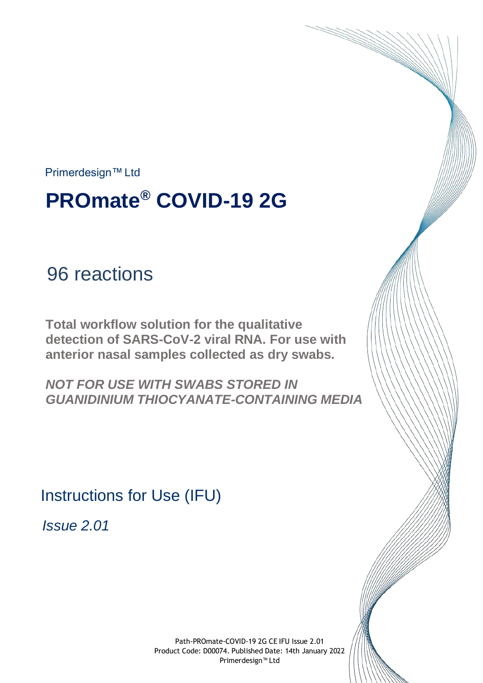Primerdesign™Ltd

# **PROmate® COVID-19 2G**

## 96 reactions

**Total workflow solution for the qualitative detection of SARS-CoV-2 viral RNA. For use with anterior nasal samples collected as dry swabs.**

*NOT FOR USE WITH SWABS STORED IN GUANIDINIUM THIOCYANATE-CONTAINING MEDIA*

Instructions for Use (IFU)

*Issue 2.01*

Path-PROmate-COVID-19 2G CE IFU Issue 2.01 Product Code: D00074. Published Date: 14th January 2022 Primerdesign™ Ltd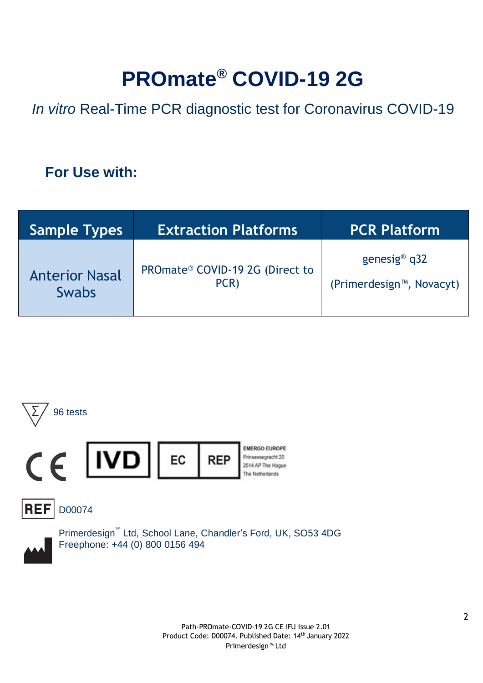# **PROmate® COVID-19 2G**

*In vitro* Real-Time PCR diagnostic test for Coronavirus COVID-19

## **For Use with:**

| <b>Sample Types</b>   | <b>Extraction Platforms</b>     | <b>PCR Platform</b>                   |
|-----------------------|---------------------------------|---------------------------------------|
| <b>Anterior Nasal</b> | PROmate® COVID-19 2G (Direct to | genesig <sup>®</sup> $q32$            |
| <b>Swabs</b>          | PCR)                            | (Primerdesign <sup>™</sup> , Novacyt) |





Primerdesign<sup>™</sup> Ltd, School Lane, Chandler's Ford, UK, SO53 4DG Freephone: +44 (0) 800 0156 494

> Path-PROmate-COVID-19 2G CE IFU Issue 2.01 Product Code: D00074. Published Date: 14th January 2022 Primerdesign™ Ltd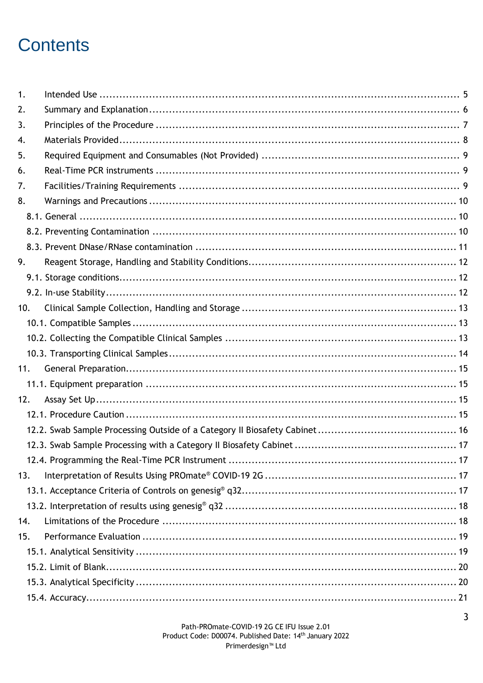## **Contents**

| 2.  |  |
|-----|--|
| 3.  |  |
| 4.  |  |
| 5.  |  |
| 6.  |  |
| 7.  |  |
| 8.  |  |
|     |  |
|     |  |
|     |  |
| 9.  |  |
|     |  |
|     |  |
| 10. |  |
|     |  |
|     |  |
|     |  |
| 11. |  |
|     |  |
| 12. |  |
|     |  |
|     |  |
|     |  |
|     |  |
| 13. |  |
|     |  |
|     |  |
| 14. |  |
| 15. |  |
|     |  |
|     |  |
|     |  |
|     |  |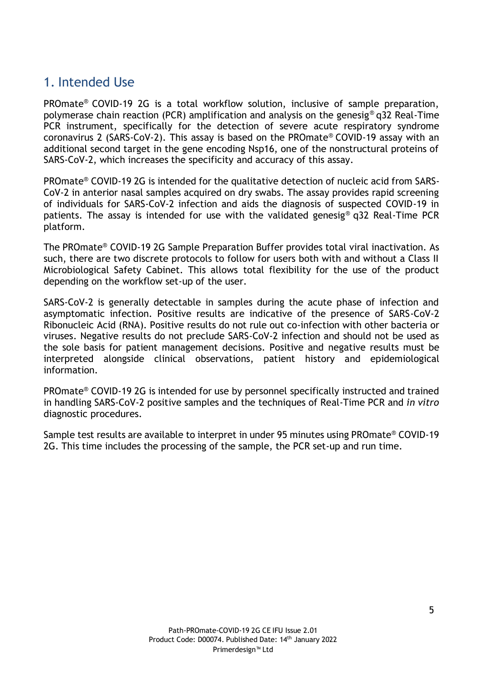## <span id="page-4-0"></span>1. Intended Use

PROmate® COVID-19 2G is a total workflow solution, inclusive of sample preparation, polymerase chain reaction (PCR) amplification and analysis on the genesig® q32 Real-Time PCR instrument, specifically for the detection of severe acute respiratory syndrome coronavirus 2 (SARS-CoV-2). This assay is based on the PROmate® COVID-19 assay with an additional second target in the gene encoding Nsp16, one of the nonstructural proteins of SARS-CoV-2, which increases the specificity and accuracy of this assay.

PROmate® COVID-19 2G is intended for the qualitative detection of nucleic acid from SARS-CoV-2 in anterior nasal samples acquired on dry swabs. The assay provides rapid screening of individuals for SARS-CoV-2 infection and aids the diagnosis of suspected COVID-19 in patients. The assay is intended for use with the validated genesig® q32 Real-Time PCR platform.

The PROmate® COVID-19 2G Sample Preparation Buffer provides total viral inactivation. As such, there are two discrete protocols to follow for users both with and without a Class II Microbiological Safety Cabinet. This allows total flexibility for the use of the product depending on the workflow set-up of the user.

SARS-CoV-2 is generally detectable in samples during the acute phase of infection and asymptomatic infection. Positive results are indicative of the presence of SARS-CoV-2 Ribonucleic Acid (RNA). Positive results do not rule out co-infection with other bacteria or viruses. Negative results do not preclude SARS-CoV-2 infection and should not be used as the sole basis for patient management decisions. Positive and negative results must be interpreted alongside clinical observations, patient history and epidemiological information.

PROmate® COVID-19 2G is intended for use by personnel specifically instructed and trained in handling SARS-CoV-2 positive samples and the techniques of Real-Time PCR and *in vitro* diagnostic procedures.

Sample test results are available to interpret in under 95 minutes using PROmate® COVID-19 2G. This time includes the processing of the sample, the PCR set-up and run time.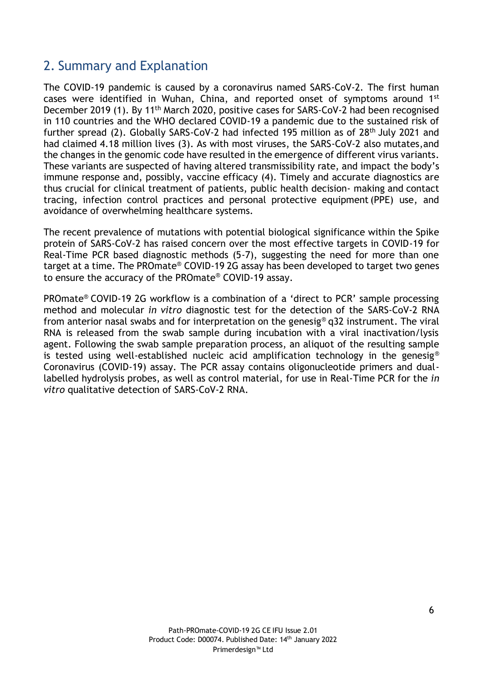## <span id="page-5-0"></span>2. Summary and Explanation

The COVID-19 pandemic is caused by a coronavirus named SARS-CoV-2. The first human cases were identified in Wuhan, China, and reported onset of symptoms around 1st December 2019 (1). By 11<sup>th</sup> March 2020, positive cases for SARS-CoV-2 had been recognised in 110 countries and the WHO declared COVID-19 a pandemic due to the sustained risk of further spread (2). Globally SARS-CoV-2 had infected 195 million as of 28<sup>th</sup> July 2021 and had claimed 4.18 million lives (3). As with most viruses, the SARS-CoV-2 also mutates,and the changes in the genomic code have resulted in the emergence of different virus variants. These variants are suspected of having altered transmissibility rate, and impact the body's immune response and, possibly, vaccine efficacy (4). Timely and accurate diagnostics are thus crucial for clinical treatment of patients, public health decision- making and contact tracing, infection control practices and personal protective equipment(PPE) use, and avoidance of overwhelming healthcare systems.

The recent prevalence of mutations with potential biological significance within the Spike protein of SARS-CoV-2 has raised concern over the most effective targets in COVID-19 for Real-Time PCR based diagnostic methods (5-7), suggesting the need for more than one target at a time. The PROmate® COVID-19 2G assay has been developed to target two genes to ensure the accuracy of the PROmate® COVID-19 assay.

PROmate® COVID-19 2G workflow is a combination of a 'direct to PCR' sample processing method and molecular *in vitro* diagnostic test for the detection of the SARS-CoV-2 RNA from anterior nasal swabs and for interpretation on the genesig® q32 instrument. The viral RNA is released from the swab sample during incubation with a viral inactivation/lysis agent. Following the swab sample preparation process, an aliquot of the resulting sample is tested using well-established nucleic acid amplification technology in the genesig<sup>®</sup> Coronavirus (COVID-19) assay. The PCR assay contains oligonucleotide primers and duallabelled hydrolysis probes, as well as control material, for use in Real-Time PCR for the *in vitro* qualitative detection of SARS-CoV-2 RNA.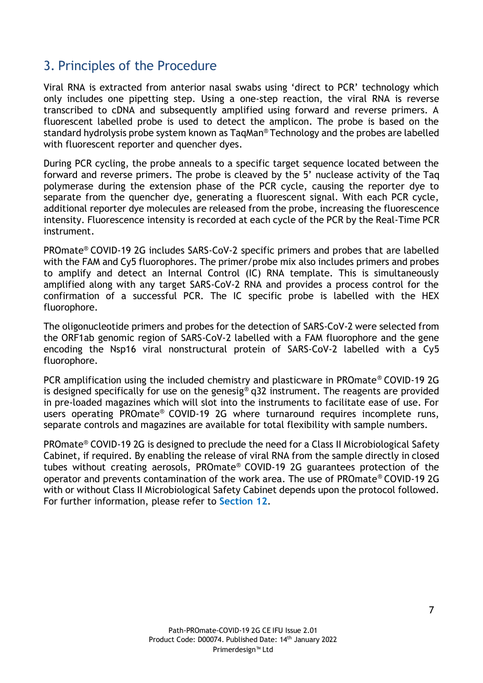## <span id="page-6-0"></span>3. Principles of the Procedure

Viral RNA is extracted from anterior nasal swabs using 'direct to PCR' technology which only includes one pipetting step. Using a one-step reaction, the viral RNA is reverse transcribed to cDNA and subsequently amplified using forward and reverse primers. A fluorescent labelled probe is used to detect the amplicon. The probe is based on the standard hydrolysis probe system known as TaqMan® Technology and the probes are labelled with fluorescent reporter and quencher dyes.

During PCR cycling, the probe anneals to a specific target sequence located between the forward and reverse primers. The probe is cleaved by the 5' nuclease activity of the Taq polymerase during the extension phase of the PCR cycle, causing the reporter dye to separate from the quencher dye, generating a fluorescent signal. With each PCR cycle, additional reporter dye molecules are released from the probe, increasing the fluorescence intensity. Fluorescence intensity is recorded at each cycle of the PCR by the Real-Time PCR instrument.

PROmate® COVID-19 2G includes SARS-CoV-2 specific primers and probes that are labelled with the FAM and Cy5 fluorophores. The primer/probe mix also includes primers and probes to amplify and detect an Internal Control (IC) RNA template. This is simultaneously amplified along with any target SARS-CoV-2 RNA and provides a process control for the confirmation of a successful PCR. The IC specific probe is labelled with the HEX fluorophore.

The oligonucleotide primers and probes for the detection of SARS-CoV-2 were selected from the ORF1ab genomic region of SARS-CoV-2 labelled with a FAM fluorophore and the gene encoding the Nsp16 viral nonstructural protein of SARS-CoV-2 labelled with a Cy5 fluorophore.

PCR amplification using the included chemistry and plasticware in PROmate® COVID-19 2G is designed specifically for use on the genesig® q32 instrument. The reagents are provided in pre-loaded magazines which will slot into the instruments to facilitate ease of use. For users operating PROmate® COVID-19 2G where turnaround requires incomplete runs, separate controls and magazines are available for total flexibility with sample numbers.

PROmate® COVID-19 2G is designed to preclude the need for a Class II Microbiological Safety Cabinet, if required. By enabling the release of viral RNA from the sample directly in closed tubes without creating aerosols, PROmate® COVID-19 2G guarantees protection of the operator and prevents contamination of the work area. The use of PROmate® COVID-19 2G with or without Class II Microbiological Safety Cabinet depends upon the protocol followed. For further information, please refer to **Section 12**.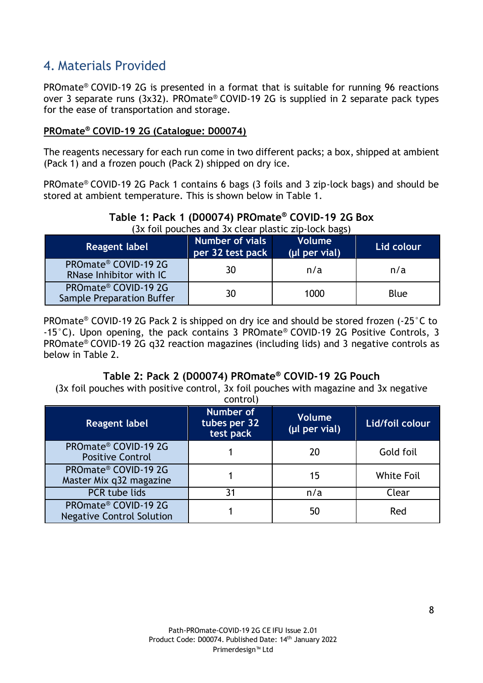## <span id="page-7-0"></span>4. Materials Provided

PROmate® COVID-19 2G is presented in a format that is suitable for running 96 reactions over 3 separate runs (3x32). PROmate® COVID-19 2G is supplied in 2 separate pack types for the ease of transportation and storage.

#### **PROmate® COVID-19 2G (Catalogue: D00074)**

The reagents necessary for each run come in two different packs; a box, shipped at ambient (Pack 1) and a frozen pouch (Pack 2) shipped on dry ice.

PROmate® COVID-19 2G Pack 1 contains 6 bags (3 foils and 3 zip-lock bags) and should be stored at ambient temperature. This is shown below in Table 1.

#### **Table 1: Pack 1 (D00074) PROmate® COVID-19 2G Box** (3x foil pouches and 3x clear plastic zip-lock bags)

| Reagent label                                     | Number of vials<br>per 32 test pack | <b>Volume</b><br>(µl per vial) | Lid colour  |
|---------------------------------------------------|-------------------------------------|--------------------------------|-------------|
| PROmate® COVID-19 2G<br>RNase Inhibitor with IC   | 30                                  | n/a                            | n/a         |
| PROmate® COVID-19 2G<br>Sample Preparation Buffer | 30                                  | 1000                           | <b>Blue</b> |

PROmate® COVID-19 2G Pack 2 is shipped on dry ice and should be stored frozen (-25°C to -15°C). Upon opening, the pack contains 3 PROmate® COVID-19 2G Positive Controls, 3 PROmate® COVID-19 2G q32 reaction magazines (including lids) and 3 negative controls as below in Table 2.

#### **Table 2: Pack 2 (D00074) PROmate® COVID-19 2G Pouch**

(3x foil pouches with positive control, 3x foil pouches with magazine and 3x negative

| <b>Reagent label</b>                                     | control)<br>Number of<br>tubes per 32<br>test pack | <b>Volume</b><br>(µl per vial) | Lid/foil colour   |
|----------------------------------------------------------|----------------------------------------------------|--------------------------------|-------------------|
| PROmate® COVID-19 2G<br><b>Positive Control</b>          |                                                    | 20                             | Gold foil         |
| PROmate® COVID-19 2G<br>Master Mix q32 magazine          |                                                    | 15                             | <b>White Foil</b> |
| PCR tube lids                                            | 31                                                 | n/a                            | Clear             |
| PROmate® COVID-19 2G<br><b>Negative Control Solution</b> |                                                    | 50                             | Red               |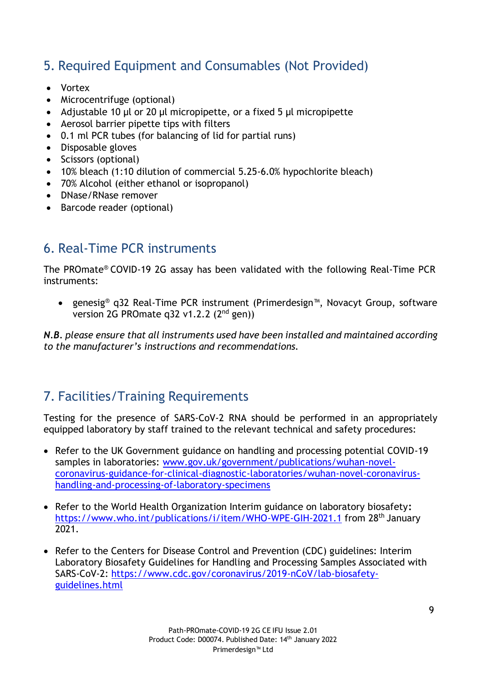## <span id="page-8-0"></span>5. Required Equipment and Consumables (Not Provided)

- Vortex
- Microcentrifuge (optional)
- Adjustable 10 µl or 20 µl micropipette, or a fixed 5 µl micropipette
- Aerosol barrier pipette tips with filters
- 0.1 ml PCR tubes (for balancing of lid for partial runs)
- Disposable gloves
- Scissors (optional)
- 10% bleach (1:10 dilution of commercial 5.25-6.0% hypochlorite bleach)
- 70% Alcohol (either ethanol or isopropanol)
- DNase/RNase remover
- Barcode reader (optional)

## <span id="page-8-1"></span>6. Real-Time PCR instruments

The PROmate® COVID-19 2G assay has been validated with the following Real-Time PCR instruments:

• genesig® q32 Real-Time PCR instrument (Primerdesign™, Novacyt Group, software version 2G PROmate q32 v1.2.2 (2nd gen))

*N.B. please ensure that all instruments used have been installed and maintained according to the manufacturer's instructions and recommendations.*

## <span id="page-8-2"></span>7. Facilities/Training Requirements

Testing for the presence of SARS-CoV-2 RNA should be performed in an appropriately equipped laboratory by staff trained to the relevant technical and safety procedures:

- Refer to the UK Government guidance on handling and processing potential COVID-19 samples in laboratories: [www.gov.uk/government/publications/wuhan-novel](http://www.gov.uk/government/publications/wuhan-novel-coronavirus-guidance-for-clinical-diagnostic-laboratories/wuhan-novel-coronavirus-handling-and-processing-of-laboratory-specimens)[coronavirus-guidance-for-clinical-diagnostic-laboratories/wuhan-novel-coronavirus](http://www.gov.uk/government/publications/wuhan-novel-coronavirus-guidance-for-clinical-diagnostic-laboratories/wuhan-novel-coronavirus-handling-and-processing-of-laboratory-specimens)[handling-and-processing-of-laboratory-specimens](http://www.gov.uk/government/publications/wuhan-novel-coronavirus-guidance-for-clinical-diagnostic-laboratories/wuhan-novel-coronavirus-handling-and-processing-of-laboratory-specimens)
- Refer to the World Health Organization Interim guidance on laboratory biosafety**:** <https://www.who.int/publications/i/item/WHO-WPE-GIH-2021.1> from 28<sup>th</sup> January 2021.
- Refer to the Centers for Disease Control and Prevention (CDC) guidelines: Interim Laboratory Biosafety Guidelines for Handling and Processing Samples Associated with SARS-CoV-2: [https://www.cdc.gov/coronavirus/2019-nCoV/lab-biosafety](https://www.cdc.gov/coronavirus/2019-nCoV/lab-biosafety-guidelines.html)[guidelines.html](https://www.cdc.gov/coronavirus/2019-nCoV/lab-biosafety-guidelines.html)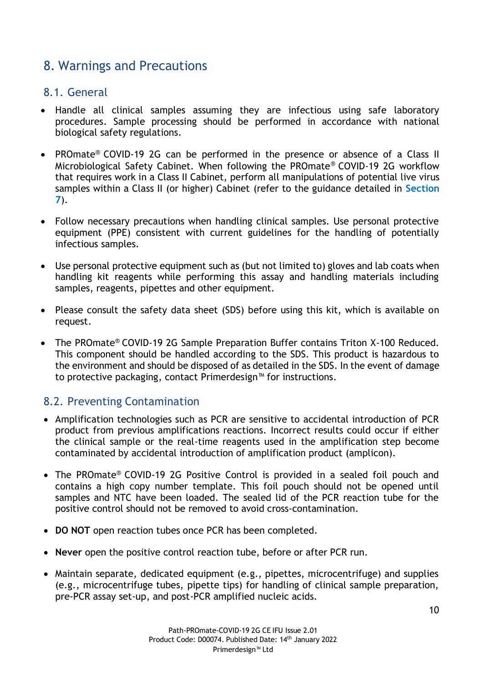## <span id="page-9-0"></span>8. Warnings and Precautions

#### <span id="page-9-1"></span>8.1. General

- Handle all clinical samples assuming they are infectious using safe laboratory procedures. Sample processing should be performed in accordance with national biological safety regulations.
- PROmate® COVID-19 2G can be performed in the presence or absence of a Class II Microbiological Safety Cabinet. When following the PROmate® COVID-19 2G workflow that requires work in a Class II Cabinet, perform all manipulations of potential live virus samples within a Class II (or higher) Cabinet (refer to the guidance detailed in **Section 7**).
- Follow necessary precautions when handling clinical samples. Use personal protective equipment (PPE) consistent with current guidelines for the handling of potentially infectious samples.
- Use personal protective equipment such as (but not limited to) gloves and lab coats when handling kit reagents while performing this assay and handling materials including samples, reagents, pipettes and other equipment.
- Please consult the safety data sheet (SDS) before using this kit, which is available on request.
- The PROmate® COVID-19 2G Sample Preparation Buffer contains Triton X-100 Reduced. This component should be handled according to the SDS. This product is hazardous to the environment and should be disposed of as detailed in the SDS. In the event of damage to protective packaging, contact Primerdesign™ for instructions.

#### <span id="page-9-2"></span>8.2. Preventing Contamination

- Amplification technologies such as PCR are sensitive to accidental introduction of PCR product from previous amplifications reactions. Incorrect results could occur if either the clinical sample or the real-time reagents used in the amplification step become contaminated by accidental introduction of amplification product (amplicon).
- The PROmate® COVID-19 2G Positive Control is provided in a sealed foil pouch and contains a high copy number template. This foil pouch should not be opened until samples and NTC have been loaded. The sealed lid of the PCR reaction tube for the positive control should not be removed to avoid cross-contamination.
- **DO NOT** open reaction tubes once PCR has been completed.
- **Never** open the positive control reaction tube, before or after PCR run.
- Maintain separate, dedicated equipment (e.g., pipettes, microcentrifuge) and supplies (e.g., microcentrifuge tubes, pipette tips) for handling of clinical sample preparation, pre-PCR assay set-up, and post-PCR amplified nucleic acids.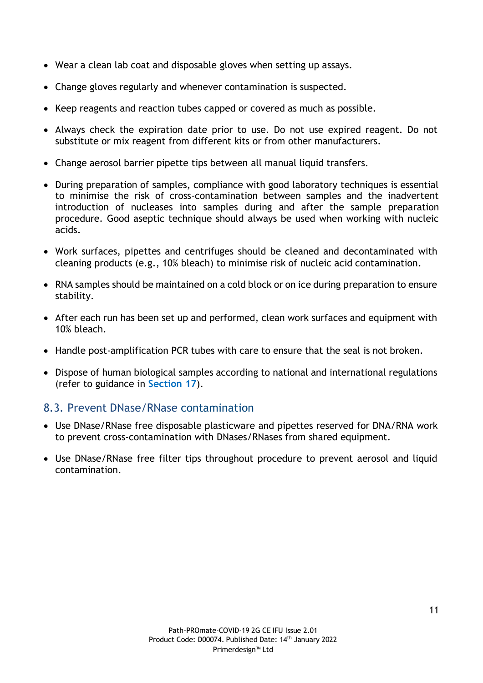- Wear a clean lab coat and disposable gloves when setting up assays.
- Change gloves regularly and whenever contamination is suspected.
- Keep reagents and reaction tubes capped or covered as much as possible.
- Always check the expiration date prior to use. Do not use expired reagent. Do not substitute or mix reagent from different kits or from other manufacturers.
- Change aerosol barrier pipette tips between all manual liquid transfers.
- During preparation of samples, compliance with good laboratory techniques is essential to minimise the risk of cross-contamination between samples and the inadvertent introduction of nucleases into samples during and after the sample preparation procedure. Good aseptic technique should always be used when working with nucleic acids.
- Work surfaces, pipettes and centrifuges should be cleaned and decontaminated with cleaning products (e.g., 10% bleach) to minimise risk of nucleic acid contamination.
- RNA samples should be maintained on a cold block or on ice during preparation to ensure stability.
- After each run has been set up and performed, clean work surfaces and equipment with 10% bleach.
- Handle post-amplification PCR tubes with care to ensure that the seal is not broken.
- Dispose of human biological samples according to national and international regulations (refer to guidance in **Section 17**).

#### <span id="page-10-0"></span>8.3. Prevent DNase/RNase contamination

- Use DNase/RNase free disposable plasticware and pipettes reserved for DNA/RNA work to prevent cross-contamination with DNases/RNases from shared equipment.
- Use DNase/RNase free filter tips throughout procedure to prevent aerosol and liquid contamination.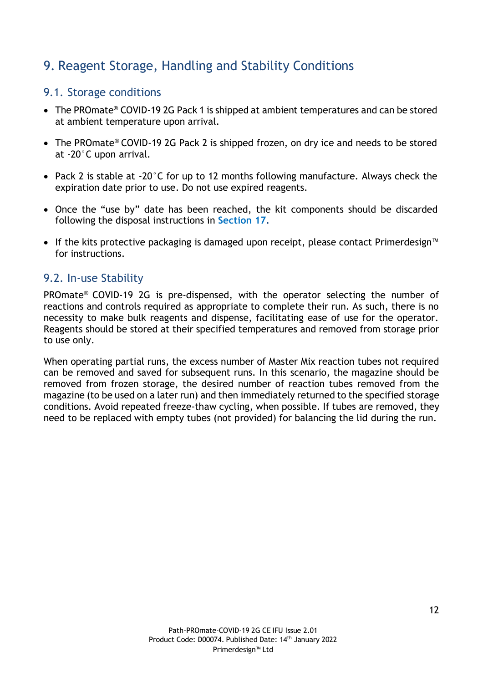## <span id="page-11-0"></span>9. Reagent Storage, Handling and Stability Conditions

#### <span id="page-11-1"></span>9.1. Storage conditions

- The PROmate<sup>®</sup> COVID-19 2G Pack 1 is shipped at ambient temperatures and can be stored at ambient temperature upon arrival.
- The PROmate® COVID-19 2G Pack 2 is shipped frozen, on dry ice and needs to be stored at -20°C upon arrival.
- Pack 2 is stable at -20°C for up to 12 months following manufacture. Always check the expiration date prior to use. Do not use expired reagents.
- Once the "use by" date has been reached, the kit components should be discarded following the disposal instructions in **Section 17.**
- If the kits protective packaging is damaged upon receipt, please contact Primerdesign™ for instructions.

#### <span id="page-11-2"></span>9.2. In-use Stability

PROmate® COVID-19 2G is pre-dispensed, with the operator selecting the number of reactions and controls required as appropriate to complete their run. As such, there is no necessity to make bulk reagents and dispense, facilitating ease of use for the operator. Reagents should be stored at their specified temperatures and removed from storage prior to use only.

When operating partial runs, the excess number of Master Mix reaction tubes not required can be removed and saved for subsequent runs. In this scenario, the magazine should be removed from frozen storage, the desired number of reaction tubes removed from the magazine (to be used on a later run) and then immediately returned to the specified storage conditions. Avoid repeated freeze-thaw cycling, when possible. If tubes are removed, they need to be replaced with empty tubes (not provided) for balancing the lid during the run.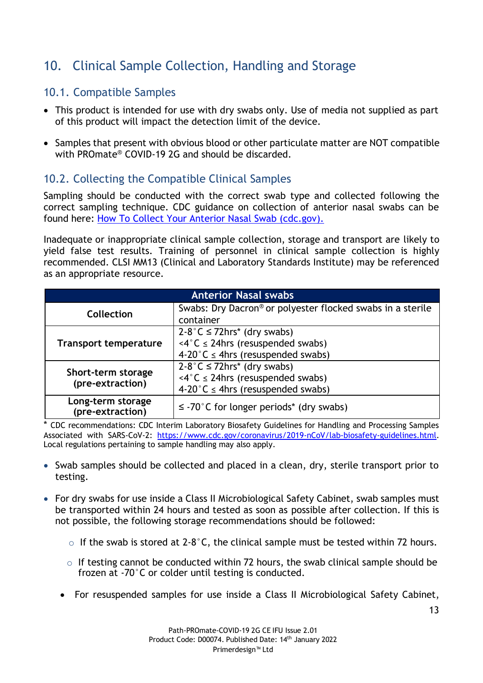## <span id="page-12-0"></span>10. Clinical Sample Collection, Handling and Storage

#### <span id="page-12-1"></span>10.1. Compatible Samples

- This product is intended for use with dry swabs only. Use of media not supplied as part of this product will impact the detection limit of the device.
- Samples that present with obvious blood or other particulate matter are NOT compatible with PROmate® COVID-19 2G and should be discarded.

#### <span id="page-12-2"></span>10.2. Collecting the Compatible Clinical Samples

Sampling should be conducted with the correct swab type and collected following the correct sampling technique. CDC guidance on collection of anterior nasal swabs can be found here: [How To Collect Your Anterior Nasal Swab \(cdc.gov\).](https://www.cdc.gov/coronavirus/2019-ncov/testing/How-To-Collect-Anterior-Nasal-Specimen-for-COVID-19.pdf)

Inadequate or inappropriate clinical sample collection, storage and transport are likely to yield false test results. Training of personnel in clinical sample collection is highly recommended. CLSI MM13 (Clinical and Laboratory Standards Institute) may be referenced as an appropriate resource.

| <b>Anterior Nasal swabs</b>           |                                                            |  |  |
|---------------------------------------|------------------------------------------------------------|--|--|
| Collection                            | Swabs: Dry Dacron® or polyester flocked swabs in a sterile |  |  |
|                                       | container                                                  |  |  |
|                                       | $2-8$ °C $\leq$ 72hrs* (dry swabs)                         |  |  |
| <b>Transport temperature</b>          | $\langle 4^{\circ}$ C $\leq$ 24hrs (resuspended swabs)     |  |  |
|                                       | 4-20°C $\leq$ 4hrs (resuspended swabs)                     |  |  |
|                                       | $2-8$ °C $\leq$ 72hrs* (dry swabs)                         |  |  |
| Short-term storage                    | $\langle 4^{\circ}$ C $\leq$ 24hrs (resuspended swabs)     |  |  |
| (pre-extraction)                      | 4-20°C $\leq$ 4hrs (resuspended swabs)                     |  |  |
| Long-term storage<br>(pre-extraction) | $\leq$ -70°C for longer periods* (dry swabs)               |  |  |

\* CDC recommendations: CDC Interim Laboratory Biosafety Guidelines for Handling and Processing Samples Associated with SARS-CoV-2: [https://www.cdc.gov/coronavirus/2019-nCoV/lab-biosafety-guidelines.html.](https://www.cdc.gov/coronavirus/2019-nCoV/lab-biosafety-guidelines.html) Local regulations pertaining to sample handling may also apply.

- Swab samples should be collected and placed in a clean, dry, sterile transport prior to testing.
- For dry swabs for use inside a Class II Microbiological Safety Cabinet, swab samples must be transported within 24 hours and tested as soon as possible after collection. If this is not possible, the following storage recommendations should be followed:
	- $\circ$  If the swab is stored at 2-8 $\degree$ C, the clinical sample must be tested within 72 hours.
	- $\circ$  If testing cannot be conducted within 72 hours, the swab clinical sample should be frozen at -70°C or colder until testing is conducted.
	- For resuspended samples for use inside a Class II Microbiological Safety Cabinet,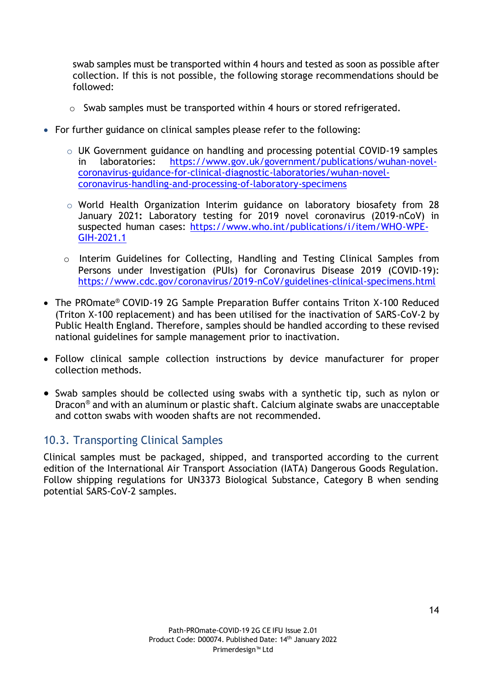swab samples must be transported within 4 hours and tested as soon as possible after collection. If this is not possible, the following storage recommendations should be followed:

- o Swab samples must be transported within 4 hours or stored refrigerated.
- For further guidance on clinical samples please refer to the following:
	- o UK Government guidance on handling and processing potential COVID-19 samples in laboratories: [https://www.gov.uk/government/publications/wuhan-novel](https://www.gov.uk/government/publications/wuhan-novel-coronavirus-guidance-for-clinical-diagnostic-laboratories/wuhan-novel-coronavirus-handling-and-processing-of-laboratory-specimens)[coronavirus-guidance-for-clinical-diagnostic-laboratories/wuhan-novel](https://www.gov.uk/government/publications/wuhan-novel-coronavirus-guidance-for-clinical-diagnostic-laboratories/wuhan-novel-coronavirus-handling-and-processing-of-laboratory-specimens)[coronavirus-handling-and-processing-of-laboratory-specimens](https://www.gov.uk/government/publications/wuhan-novel-coronavirus-guidance-for-clinical-diagnostic-laboratories/wuhan-novel-coronavirus-handling-and-processing-of-laboratory-specimens)
	- o World Health Organization Interim guidance on laboratory biosafety from 28 January 2021**:** Laboratory testing for 2019 novel coronavirus (2019-nCoV) in suspected human cases: [https://www.who.int/publications/i/item/WHO-WPE-](https://www.who.int/publications/i/item/WHO-WPE-GIH-2021.1)[GIH-2021.1](https://www.who.int/publications/i/item/WHO-WPE-GIH-2021.1)
	- o Interim Guidelines for Collecting, Handling and Testing Clinical Samples from Persons under Investigation (PUIs) for Coronavirus Disease 2019 (COVID-19): <https://www.cdc.gov/coronavirus/2019-nCoV/guidelines-clinical-specimens.html>
- The PROmate® COVID-19 2G Sample Preparation Buffer contains Triton X-100 Reduced (Triton X-100 replacement) and has been utilised for the inactivation of SARS-CoV-2 by Public Health England. Therefore, samples should be handled according to these revised national guidelines for sample management prior to inactivation.
- Follow clinical sample collection instructions by device manufacturer for proper collection methods.
- Swab samples should be collected using swabs with a synthetic tip, such as nylon or Dracon® and with an aluminum or plastic shaft. Calcium alginate swabs are unacceptable and cotton swabs with wooden shafts are not recommended.

#### <span id="page-13-0"></span>10.3. Transporting Clinical Samples

Clinical samples must be packaged, shipped, and transported according to the current edition of the International Air Transport Association (IATA) Dangerous Goods Regulation. Follow shipping regulations for UN3373 Biological Substance, Category B when sending potential SARS-CoV-2 samples.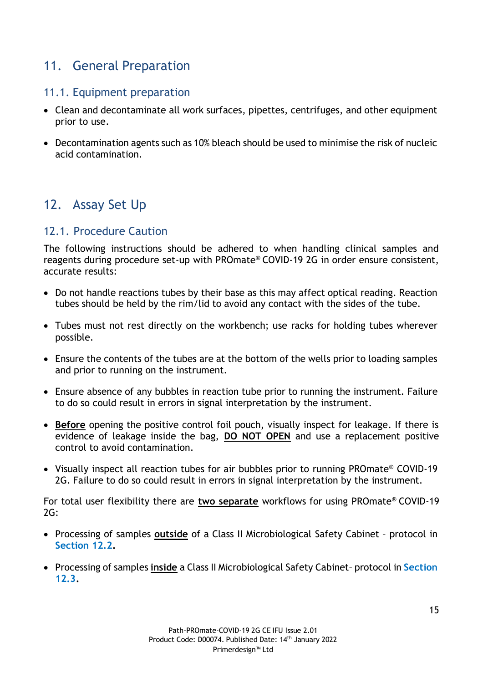## <span id="page-14-0"></span>11. General Preparation

#### <span id="page-14-1"></span>11.1. Equipment preparation

- Clean and decontaminate all work surfaces, pipettes, centrifuges, and other equipment prior to use.
- Decontamination agents such as 10% bleach should be used to minimise the risk of nucleic acid contamination.

## <span id="page-14-2"></span>12. Assay Set Up

#### <span id="page-14-3"></span>12.1. Procedure Caution

The following instructions should be adhered to when handling clinical samples and reagents during procedure set-up with PROmate® COVID-19 2G in order ensure consistent, accurate results:

- Do not handle reactions tubes by their base as this may affect optical reading. Reaction tubes should be held by the rim/lid to avoid any contact with the sides of the tube.
- Tubes must not rest directly on the workbench; use racks for holding tubes wherever possible.
- Ensure the contents of the tubes are at the bottom of the wells prior to loading samples and prior to running on the instrument.
- Ensure absence of any bubbles in reaction tube prior to running the instrument. Failure to do so could result in errors in signal interpretation by the instrument.
- **Before** opening the positive control foil pouch, visually inspect for leakage. If there is evidence of leakage inside the bag, **DO NOT OPEN** and use a replacement positive control to avoid contamination.
- Visually inspect all reaction tubes for air bubbles prior to running PROmate® COVID-19 2G. Failure to do so could result in errors in signal interpretation by the instrument.

For total user flexibility there are **two separate** workflows for using PROmate® COVID-19  $2G:$ 

- Processing of samples **outside** of a Class II Microbiological Safety Cabinet protocol in **Section 12.2.**
- Processing of samples **inside** a Class II Microbiological Safety Cabinet– protocol in **Section 12.3.**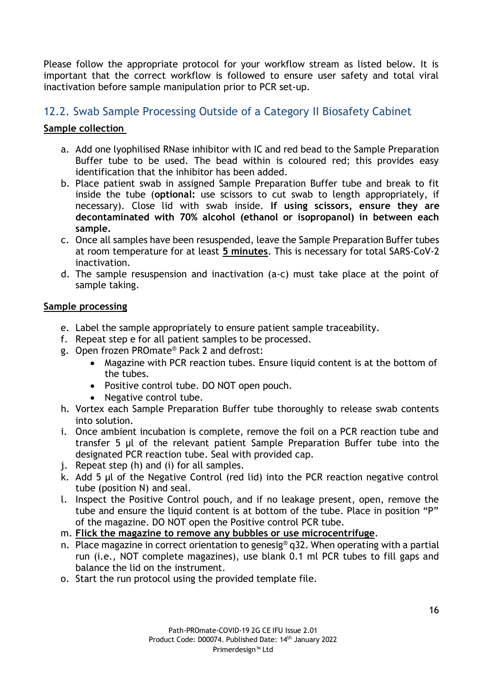Please follow the appropriate protocol for your workflow stream as listed below. It is important that the correct workflow is followed to ensure user safety and total viral inactivation before sample manipulation prior to PCR set-up.

#### <span id="page-15-0"></span>12.2. Swab Sample Processing Outside of a Category II Biosafety Cabinet

#### **Sample collection**

- a. Add one lyophilised RNase inhibitor with IC and red bead to the Sample Preparation Buffer tube to be used. The bead within is coloured red; this provides easy identification that the inhibitor has been added.
- b. Place patient swab in assigned Sample Preparation Buffer tube and break to fit inside the tube (**optional:** use scissors to cut swab to length appropriately, if necessary). Close lid with swab inside. **If using scissors, ensure they are decontaminated with 70% alcohol (ethanol or isopropanol) in between each sample.**
- c. Once all samples have been resuspended, leave the Sample Preparation Buffer tubes at room temperature for at least **5 minutes**. This is necessary for total SARS-CoV-2 inactivation.
- d. The sample resuspension and inactivation (a-c) must take place at the point of sample taking.

#### **Sample processing**

- e. Label the sample appropriately to ensure patient sample traceability.
- f. Repeat step e for all patient samples to be processed.
- g. Open frozen PROmate® Pack 2 and defrost:
	- Magazine with PCR reaction tubes. Ensure liquid content is at the bottom of the tubes.
	- Positive control tube. DO NOT open pouch.
	- Negative control tube.
- h. Vortex each Sample Preparation Buffer tube thoroughly to release swab contents into solution.
- i. Once ambient incubation is complete, remove the foil on a PCR reaction tube and transfer 5 µl of the relevant patient Sample Preparation Buffer tube into the designated PCR reaction tube. Seal with provided cap.
- j. Repeat step (h) and (i) for all samples.
- k. Add 5 µl of the Negative Control (red lid) into the PCR reaction negative control tube (position N) and seal.
- l. Inspect the Positive Control pouch, and if no leakage present, open, remove the tube and ensure the liquid content is at bottom of the tube. Place in position "P" of the magazine. DO NOT open the Positive control PCR tube.
- m. **Flick the magazine to remove any bubbles or use microcentrifuge**.
- n. Place magazine in correct orientation to genesig<sup>®</sup> q32. When operating with a partial run (i.e., NOT complete magazines), use blank 0.1 ml PCR tubes to fill gaps and balance the lid on the instrument.
- o. Start the run protocol using the provided template file.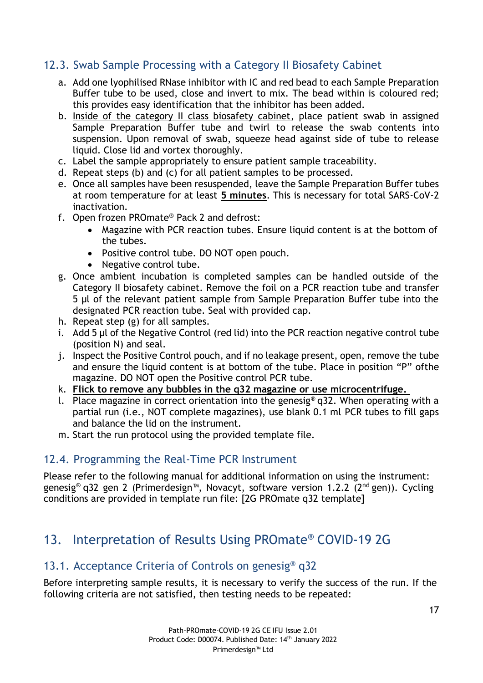#### <span id="page-16-0"></span>12.3. Swab Sample Processing with a Category II Biosafety Cabinet

- a. Add one lyophilised RNase inhibitor with IC and red bead to each Sample Preparation Buffer tube to be used, close and invert to mix. The bead within is coloured red; this provides easy identification that the inhibitor has been added.
- b. Inside of the category II class biosafety cabinet, place patient swab in assigned Sample Preparation Buffer tube and twirl to release the swab contents into suspension. Upon removal of swab, squeeze head against side of tube to release liquid. Close lid and vortex thoroughly.
- c. Label the sample appropriately to ensure patient sample traceability.
- d. Repeat steps (b) and (c) for all patient samples to be processed.
- e. Once all samples have been resuspended, leave the Sample Preparation Buffer tubes at room temperature for at least **5 minutes**. This is necessary for total SARS-CoV-2 inactivation.
- f. Open frozen PROmate® Pack 2 and defrost:
	- Magazine with PCR reaction tubes. Ensure liquid content is at the bottom of the tubes.
	- Positive control tube. DO NOT open pouch.
	- Negative control tube.
- g. Once ambient incubation is completed samples can be handled outside of the Category II biosafety cabinet. Remove the foil on a PCR reaction tube and transfer 5 µl of the relevant patient sample from Sample Preparation Buffer tube into the designated PCR reaction tube. Seal with provided cap.
- h. Repeat step (g) for all samples.
- i. Add 5 µl of the Negative Control (red lid) into the PCR reaction negative control tube (position N) and seal.
- j. Inspect the Positive Control pouch, and if no leakage present, open, remove the tube and ensure the liquid content is at bottom of the tube. Place in position "P" ofthe magazine. DO NOT open the Positive control PCR tube.
- k. **Flick to remove any bubbles in the q32 magazine or use microcentrifuge.**
- l. Place magazine in correct orientation into the genesig<sup>®</sup> q32. When operating with a partial run (i.e., NOT complete magazines), use blank 0.1 ml PCR tubes to fill gaps and balance the lid on the instrument.
- m. Start the run protocol using the provided template file.

#### <span id="page-16-1"></span>12.4. Programming the Real-Time PCR Instrument

Please refer to the following manual for additional information on using the instrument: genesig® q32 gen 2 (Primerdesign™, Novacyt, software version 1.2.2 (2<sup>nd</sup> gen)). Cycling conditions are provided in template run file: [2G PROmate q32 template]

## <span id="page-16-2"></span>13. Interpretation of Results Using PROmate® COVID-19 2G

#### <span id="page-16-3"></span>13.1. Acceptance Criteria of Controls on genesig® q32

Before interpreting sample results, it is necessary to verify the success of the run. If the following criteria are not satisfied, then testing needs to be repeated: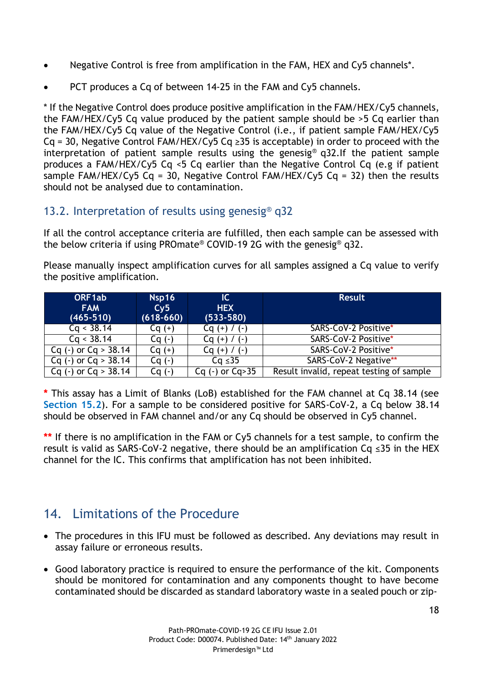- Negative Control is free from amplification in the FAM, HEX and Cy5 channels\*.
- PCT produces a Cq of between 14-25 in the FAM and Cy5 channels.

\* If the Negative Control does produce positive amplification in the FAM/HEX/Cy5 channels, the FAM/HEX/Cy5 Cq value produced by the patient sample should be >5 Cq earlier than the FAM/HEX/Cy5 Cq value of the Negative Control (i.e., if patient sample FAM/HEX/Cy5 Cq = 30, Negative Control FAM/HEX/Cy5 Cq  $\geq$ 35 is acceptable) in order to proceed with the interpretation of patient sample results using the genesig® q32.If the patient sample produces a FAM/HEX/Cy5 Cq <5 Cq earlier than the Negative Control Cq (e.g if patient sample FAM/HEX/Cy5 Cq = 30, Negative Control FAM/HEX/Cy5 Cq = 32) then the results should not be analysed due to contamination.

#### <span id="page-17-0"></span>13.2. Interpretation of results using genesig® q32

If all the control acceptance criteria are fulfilled, then each sample can be assessed with the below criteria if using PROmate® COVID-19 2G with the genesig® q32.

Please manually inspect amplification curves for all samples assigned a Cq value to verify the positive amplification.

| ORF1ab<br><b>FAM</b><br>$(465 - 510)$ | Nsp16<br>Cv5<br>$(618-660)$ | $\overline{\mathsf{C}}$<br><b>HEX</b><br>$(533 - 580)$ | <b>Result</b>                            |
|---------------------------------------|-----------------------------|--------------------------------------------------------|------------------------------------------|
| Cq < 38.14                            | $Cq (+)$                    | $Cq (+) / (-)$                                         | SARS-CoV-2 Positive*                     |
| Cq < 38.14                            | $Cq(-)$                     | $Cq (+) / (-)$                                         | <b>SARS-CoV-2 Positive*</b>              |
| Cq $(-)$ or Cq $> 38.14$              | $Cq (+)$                    | $Cq (+) / (-)$                                         | SARS-CoV-2 Positive*                     |
| Cq (-) or Cq > $38.\overline{14}$     | $Cq(-)$                     | $Cq \leq 35$                                           | SARS-CoV-2 Negative**                    |
| Cq (-) or Cq $> 38.14$                | Cq (-)                      | $Cq (-)$ or $Cq > 35$                                  | Result invalid, repeat testing of sample |

**\*** This assay has a Limit of Blanks (LoB) established for the FAM channel at Cq 38.14 (see **Section 15.2**). For a sample to be considered positive for SARS-CoV-2, a Cq below 38.14 should be observed in FAM channel and/or any Cq should be observed in Cy5 channel.

**\*\*** If there is no amplification in the FAM or Cy5 channels for a test sample, to confirm the result is valid as SARS-CoV-2 negative, there should be an amplification Cq ≤35 in the HEX channel for the IC. This confirms that amplification has not been inhibited.

## <span id="page-17-1"></span>14. Limitations of the Procedure

- The procedures in this IFU must be followed as described. Any deviations may result in assay failure or erroneous results.
- Good laboratory practice is required to ensure the performance of the kit. Components should be monitored for contamination and any components thought to have become contaminated should be discarded as standard laboratory waste in a sealed pouch or zip-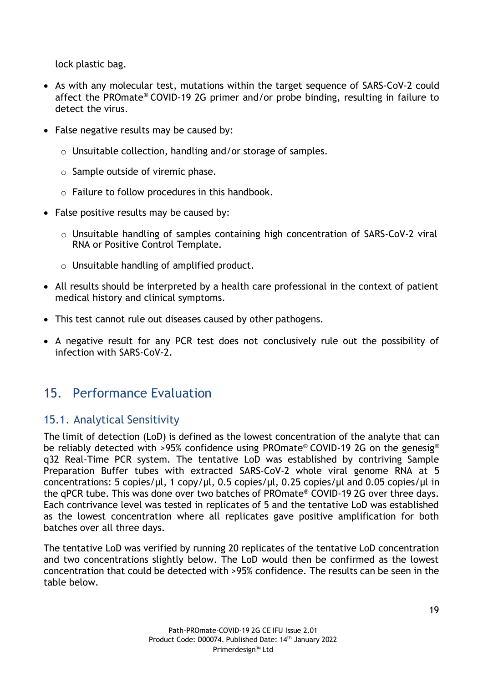lock plastic bag.

- As with any molecular test, mutations within the target sequence of SARS-CoV-2 could affect the PROmate® COVID-19 2G primer and/or probe binding, resulting in failure to detect the virus.
- False negative results may be caused by:
	- o Unsuitable collection, handling and/or storage of samples.
	- o Sample outside of viremic phase.
	- o Failure to follow procedures in this handbook.
- False positive results may be caused by:
	- o Unsuitable handling of samples containing high concentration of SARS-CoV-2 viral RNA or Positive Control Template.
	- o Unsuitable handling of amplified product.
- All results should be interpreted by a health care professional in the context of patient medical history and clinical symptoms.
- This test cannot rule out diseases caused by other pathogens.
- A negative result for any PCR test does not conclusively rule out the possibility of infection with SARS-CoV-2.

## <span id="page-18-0"></span>15. Performance Evaluation

#### <span id="page-18-1"></span>15.1. Analytical Sensitivity

The limit of detection (LoD) is defined as the lowest concentration of the analyte that can be reliably detected with >95% confidence using PROmate® COVID-19 2G on the genesig® q32 Real-Time PCR system. The tentative LoD was established by contriving Sample Preparation Buffer tubes with extracted SARS-CoV-2 whole viral genome RNA at 5 concentrations: 5 copies/µl, 1 copy/µl, 0.5 copies/µl, 0.25 copies/µl and 0.05 copies/µl in the qPCR tube. This was done over two batches of PROmate® COVID-19 2G over three days. Each contrivance level was tested in replicates of 5 and the tentative LoD was established as the lowest concentration where all replicates gave positive amplification for both batches over all three days.

The tentative LoD was verified by running 20 replicates of the tentative LoD concentration and two concentrations slightly below. The LoD would then be confirmed as the lowest concentration that could be detected with >95% confidence. The results can be seen in the table below.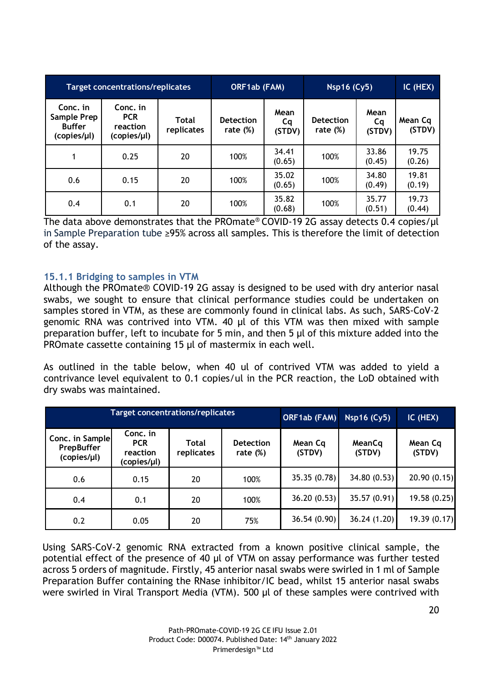| <b>Target concentrations/replicates</b>                 |                                                   | ORF1ab (FAM)               |                                 | <b>Nsp16 (Cy5)</b>   |                                 | IC (HEX)             |                   |
|---------------------------------------------------------|---------------------------------------------------|----------------------------|---------------------------------|----------------------|---------------------------------|----------------------|-------------------|
| Conc. in<br>Sample Prep<br><b>Buffer</b><br>(copies/µl) | Conc. in<br><b>PCR</b><br>reaction<br>(copies/µl) | <b>Total</b><br>replicates | <b>Detection</b><br>rate $(\%)$ | Mean<br>Cq<br>(STDV) | <b>Detection</b><br>rate $(\%)$ | Mean<br>Cq<br>(STDV) | Mean Cq<br>(STDV) |
|                                                         | 0.25                                              | 20                         | 100%                            | 34.41<br>(0.65)      | 100%                            | 33.86<br>(0.45)      | 19.75<br>(0.26)   |
| 0.6                                                     | 0.15                                              | 20                         | 100%                            | 35.02<br>(0.65)      | 100%                            | 34.80<br>(0.49)      | 19.81<br>(0.19)   |
| 0.4                                                     | 0.1                                               | 20                         | 100%                            | 35.82<br>(0.68)      | 100%                            | 35.77<br>(0.51)      | 19.73<br>(0.44)   |

The data above demonstrates that the PROmate® COVID-19 2G assay detects 0.4 copies/μl in Sample Preparation tube ≥95% across all samples. This is therefore the limit of detection of the assay.

#### **15.1.1 Bridging to samples in VTM**

Although the PROmate® COVID-19 2G assay is designed to be used with dry anterior nasal swabs, we sought to ensure that clinical performance studies could be undertaken on samples stored in VTM, as these are commonly found in clinical labs. As such, SARS-CoV-2 genomic RNA was contrived into VTM. 40 µl of this VTM was then mixed with sample preparation buffer, left to incubate for 5 min, and then 5 µl of this mixture added into the PROmate cassette containing 15 µl of mastermix in each well.

As outlined in the table below, when 40 ul of contrived VTM was added to yield a contrivance level equivalent to 0.1 copies/ul in the PCR reaction, the LoD obtained with dry swabs was maintained.

|                                                     | <b>Target concentrations/replicates</b>           |                            | ORF1ab (FAM)                    | Nsp16 (Cy5)       | IC (HEX)         |                   |
|-----------------------------------------------------|---------------------------------------------------|----------------------------|---------------------------------|-------------------|------------------|-------------------|
| Conc. in Sample<br><b>PrepBuffer</b><br>(copies/µl) | Conc. in<br><b>PCR</b><br>reaction<br>(copies/µl) | <b>Total</b><br>replicates | <b>Detection</b><br>rate $(\%)$ | Mean Cq<br>(STDV) | MeanCq<br>(STDV) | Mean Cq<br>(STDV) |
| 0.6                                                 | 0.15                                              | 20                         | 100%                            | 35.35 (0.78)      | 34.80 (0.53)     | 20.90(0.15)       |
| 0.4                                                 | 0.1                                               | 20                         | 100%                            | 36.20(0.53)       | 35.57 (0.91)     | 19.58 (0.25)      |
| 0.2                                                 | 0.05                                              | 20                         | 75%                             | 36.54(0.90)       | 36.24(1.20)      | 19.39(0.17)       |

<span id="page-19-0"></span>Using SARS-CoV-2 genomic RNA extracted from a known positive clinical sample, the potential effect of the presence of 40 µl of VTM on assay performance was further tested across 5 orders of magnitude. Firstly, 45 anterior nasal swabs were swirled in 1 ml of Sample Preparation Buffer containing the RNase inhibitor/IC bead, whilst 15 anterior nasal swabs were swirled in Viral Transport Media (VTM). 500 µl of these samples were contrived with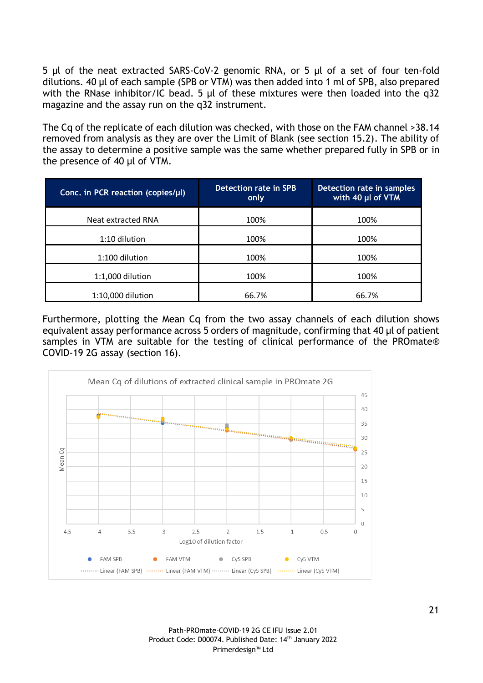5 µl of the neat extracted SARS-CoV-2 genomic RNA, or 5 µl of a set of four ten-fold dilutions. 40 µl of each sample (SPB or VTM) was then added into 1 ml of SPB, also prepared with the RNase inhibitor/IC bead. 5 µl of these mixtures were then loaded into the q32 magazine and the assay run on the q32 instrument.

The Cq of the replicate of each dilution was checked, with those on the FAM channel >38.14 removed from analysis as they are over the Limit of Blank (see section 15.2). The ability of the assay to determine a positive sample was the same whether prepared fully in SPB or in the presence of 40 µl of VTM.

| Conc. in PCR reaction (copies/µl) | Detection rate in SPB<br>only | Detection rate in samples<br>with 40 µl of VTM |
|-----------------------------------|-------------------------------|------------------------------------------------|
| Neat extracted RNA                | 100%                          | 100%                                           |
| 1:10 dilution                     | 100%                          | 100%                                           |
| 1:100 dilution                    | 100%                          | 100%                                           |
| 1:1,000 dilution                  | 100%                          | 100%                                           |
| 1:10,000 dilution                 | 66.7%                         | 66.7%                                          |

Furthermore, plotting the Mean Cq from the two assay channels of each dilution shows equivalent assay performance across 5 orders of magnitude, confirming that 40 µl of patient samples in VTM are suitable for the testing of clinical performance of the PROmate® COVID-19 2G assay (section 16).



Path-PROmate-COVID-19 2G CE IFU Issue 2.01 Product Code: D00074. Published Date: 14th January 2022 Primerdesign™ Ltd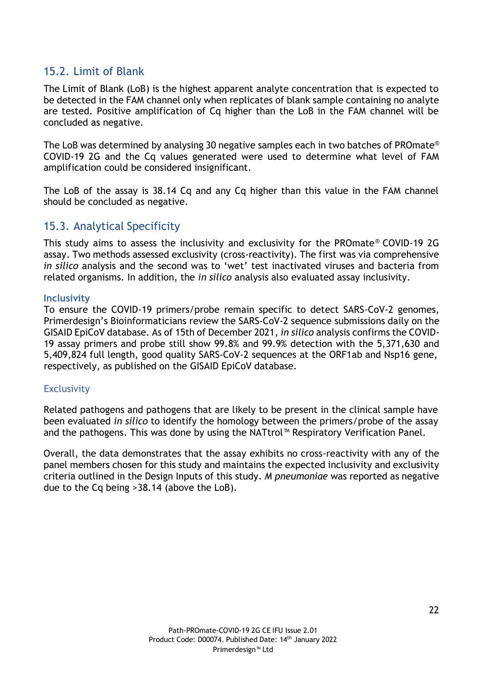#### 15.2. Limit of Blank

The Limit of Blank (LoB) is the highest apparent analyte concentration that is expected to be detected in the FAM channel only when replicates of blank sample containing no analyte are tested. Positive amplification of Cq higher than the LoB in the FAM channel will be concluded as negative.

The LoB was determined by analysing 30 negative samples each in two batches of PROmate® COVID-19 2G and the Cq values generated were used to determine what level of FAM amplification could be considered insignificant.

The LoB of the assay is 38.14 Cq and any Cq higher than this value in the FAM channel should be concluded as negative.

#### <span id="page-21-0"></span>15.3. Analytical Specificity

This study aims to assess the inclusivity and exclusivity for the PROmate® COVID-19 2G assay. Two methods assessed exclusivity (cross-reactivity). The first was via comprehensive *in silico* analysis and the second was to 'wet' test inactivated viruses and bacteria from related organisms. In addition, the *in silico* analysis also evaluated assay inclusivity.

#### **Inclusivity**

To ensure the COVID-19 primers/probe remain specific to detect SARS-CoV-2 genomes, Primerdesign's Bioinformaticians review the SARS-CoV-2 sequence submissions daily on the GISAID EpiCoV database. As of 15th of December 2021, *in silico* analysis confirms the COVID-19 assay primers and probe still show 99.8% and 99.9% detection with the 5,371,630 and 5,409,824 full length, good quality SARS-CoV-2 sequences at the ORF1ab and Nsp16 gene, respectively, as published on the GISAID EpiCoV database.

#### **Exclusivity**

Related pathogens and pathogens that are likely to be present in the clinical sample have been evaluated *in silico* to identify the homology between the primers/probe of the assay and the pathogens. This was done by using the NATtrol™ Respiratory Verification Panel.

Overall, the data demonstrates that the assay exhibits no cross-reactivity with any of the panel members chosen for this study and maintains the expected inclusivity and exclusivity criteria outlined in the Design Inputs of this study. *M pneumoniae* was reported as negative due to the Cq being >38.14 (above the LoB).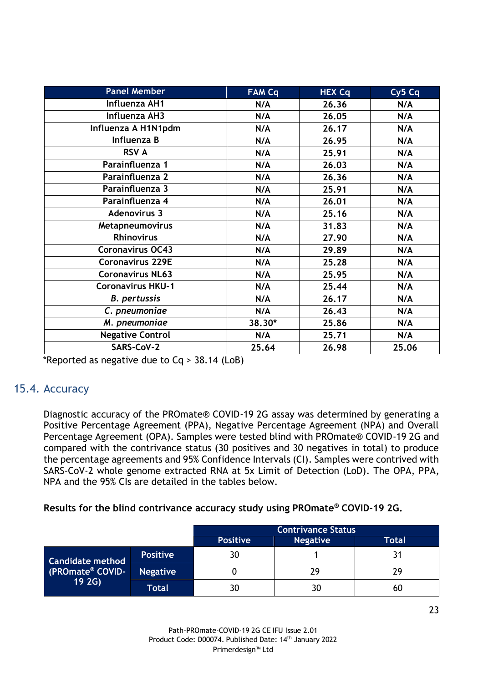| <b>Panel Member</b>      | <b>FAM Cq</b> | <b>HEX Cq</b> | Cy <sub>5</sub> Cq |
|--------------------------|---------------|---------------|--------------------|
| Influenza AH1            | N/A           | 26.36         | N/A                |
| Influenza AH3            | N/A           | 26.05         | N/A                |
| Influenza A H1N1pdm      | N/A           | 26.17         | N/A                |
| Influenza B              | N/A           | 26.95         | N/A                |
| <b>RSV A</b>             | N/A           | 25.91         | N/A                |
| Parainfluenza 1          | N/A           | 26.03         | N/A                |
| Parainfluenza 2          | N/A           | 26.36         | N/A                |
| Parainfluenza 3          | N/A           | 25.91         | N/A                |
| Parainfluenza 4          | N/A           | 26.01         | N/A                |
| <b>Adenovirus 3</b>      | N/A           | 25.16         | N/A                |
| Metapneumovirus          | N/A           | 31.83         | N/A                |
| <b>Rhinovirus</b>        | N/A           | 27.90         | N/A                |
| <b>Coronavirus OC43</b>  | N/A           | 29.89         | N/A                |
| <b>Coronavirus 229E</b>  | N/A           | 25.28         | N/A                |
| <b>Coronavirus NL63</b>  | N/A           | 25.95         | N/A                |
| <b>Coronavirus HKU-1</b> | N/A           | 25.44         | N/A                |
| <b>B.</b> pertussis      | N/A           | 26.17         | N/A                |
| C. pneumoniae            | N/A           | 26.43         | N/A                |
| M. pneumoniae            | 38.30*        | 25.86         | N/A                |
| <b>Negative Control</b>  | N/A           | 25.71         | N/A                |
| SARS-CoV-2               | 25.64         | 26.98         | 25.06              |

\*Reported as negative due to Cq > 38.14 (LoB)

#### 15.4. Accuracy

Diagnostic accuracy of the PROmate® COVID-19 2G assay was determined by generating a Positive Percentage Agreement (PPA), Negative Percentage Agreement (NPA) and Overall Percentage Agreement (OPA). Samples were tested blind with PROmate® COVID-19 2G and compared with the contrivance status (30 positives and 30 negatives in total) to produce the percentage agreements and 95% Confidence Intervals (CI). Samples were contrived with SARS-CoV-2 whole genome extracted RNA at 5x Limit of Detection (LoD). The OPA, PPA, NPA and the 95% CIs are detailed in the tables below.

#### **Results for the blind contrivance accuracy study using PROmate® COVID-19 2G.**

|                                                                 |                 | <b>Contrivance Status</b> |                 |       |  |
|-----------------------------------------------------------------|-----------------|---------------------------|-----------------|-------|--|
|                                                                 |                 | <b>Positive</b>           | <b>Negative</b> | Total |  |
| <b>Candidate method</b><br>(PROmate <sup>®</sup> COVID-<br>192G | <b>Positive</b> | 30                        |                 |       |  |
|                                                                 | <b>Negative</b> |                           | 29              | 29    |  |
|                                                                 | Total           | 30                        | 30              | 60    |  |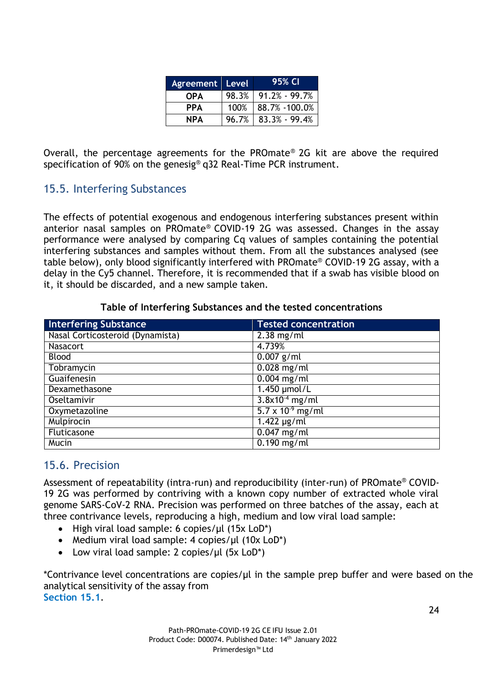| <b>Agreement</b> Level |      | 95% CI                   |
|------------------------|------|--------------------------|
| <b>OPA</b>             |      | $98.3\%$   91.2% - 99.7% |
| <b>PPA</b>             | 100% | $88.7\% - 100.0\%$       |
| <b>NPA</b>             |      | $96.7\%$   83.3% - 99.4% |

Overall, the percentage agreements for the PROmate® 2G kit are above the required specification of 90% on the genesig<sup>®</sup> q32 Real-Time PCR instrument.

#### <span id="page-23-0"></span>15.5. Interfering Substances

The effects of potential exogenous and endogenous interfering substances present within anterior nasal samples on PROmate® COVID-19 2G was assessed. Changes in the assay performance were analysed by comparing Cq values of samples containing the potential interfering substances and samples without them. From all the substances analysed (see table below), only blood significantly interfered with PROmate® COVID-19 2G assay, with a delay in the Cy5 channel. Therefore, it is recommended that if a swab has visible blood on it, it should be discarded, and a new sample taken.

#### **Table of Interfering Substances and the tested concentrations**

| <b>Interfering Substance</b>     | <b>Tested concentration</b> |
|----------------------------------|-----------------------------|
| Nasal Corticosteroid (Dynamista) | $2.38$ mg/ml                |
| <b>Nasacort</b>                  | 4.739%                      |
| <b>Blood</b>                     | $\overline{0.007}$ g/ml     |
| Tobramycin                       | $0.028$ mg/ml               |
| Guaifenesin                      | $0.004$ mg/ml               |
| Dexamethasone                    | 1.450 µmol/L                |
| Oseltamivir                      | $3.8x10^{-4}$ mg/ml         |
| Oxymetazoline                    | $5.7 \times 10^{-9}$ mg/ml  |
| Mulpirocin                       | $1.422 \mu g/ml$            |
| Fluticasone                      | $\overline{0.047}$ mg/ml    |
| Mucin                            | $\overline{0.190}$ mg/ml    |

#### <span id="page-23-1"></span>15.6. Precision

Assessment of repeatability (intra-run) and reproducibility (inter-run) of PROmate® COVID-19 2G was performed by contriving with a known copy number of extracted whole viral genome SARS-CoV-2 RNA. Precision was performed on three batches of the assay, each at three contrivance levels, reproducing a high, medium and low viral load sample:

- High viral load sample: 6 copies/μl (15x LoD\*)
- Medium viral load sample: 4 copies/μl (10x LoD<sup>\*</sup>)
- Low viral load sample: 2 copies/μl (5x LoD\*)

\*Contrivance level concentrations are copies/µl in the sample prep buffer and were based on the analytical sensitivity of the assay from **Section 15.1**.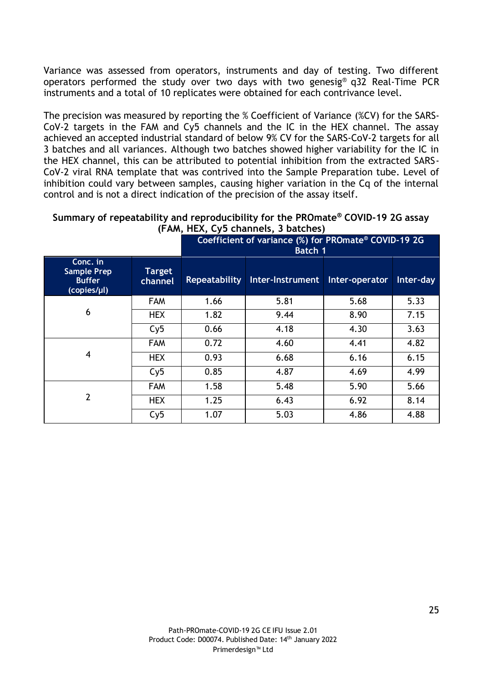Variance was assessed from operators, instruments and day of testing. Two different operators performed the study over two days with two genesig® q32 Real-Time PCR instruments and a total of 10 replicates were obtained for each contrivance level.

The precision was measured by reporting the % Coefficient of Variance (%CV) for the SARS-CoV-2 targets in the FAM and Cy5 channels and the IC in the HEX channel. The assay achieved an accepted industrial standard of below 9% CV for the SARS-CoV-2 targets for all 3 batches and all variances. Although two batches showed higher variability for the IC in the HEX channel, this can be attributed to potential inhibition from the extracted SARS-CoV-2 viral RNA template that was contrived into the Sample Preparation tube. Level of inhibition could vary between samples, causing higher variation in the Cq of the internal control and is not a direct indication of the precision of the assay itself.

**Summary of repeatability and reproducibility for the PROmate® COVID-19 2G assay (FAM, HEX, Cy5 channels, 3 batches)**

|                                                                |                          | $(1.781)$ $(1.27)$ $(9)$ $(0.10)$ $(1.00)$ $(0.00)$ $(0.00)$<br>Coefficient of variance (%) for PROmate® COVID-19 2G<br>Batch 1 |                  |                |           |
|----------------------------------------------------------------|--------------------------|---------------------------------------------------------------------------------------------------------------------------------|------------------|----------------|-----------|
| Conc. in<br><b>Sample Prep</b><br><b>Buffer</b><br>(copies/µl) | <b>Target</b><br>channel | <b>Repeatability</b>                                                                                                            | Inter-Instrument | Inter-operator | Inter-day |
|                                                                | <b>FAM</b>               | 1.66                                                                                                                            | 5.81             | 5.68           | 5.33      |
| 6                                                              | <b>HEX</b>               | 1.82                                                                                                                            | 9.44             | 8.90           | 7.15      |
|                                                                | Cy5                      | 0.66                                                                                                                            | 4.18             | 4.30           | 3.63      |
|                                                                | <b>FAM</b>               | 0.72                                                                                                                            | 4.60             | 4.41           | 4.82      |
| 4                                                              | <b>HEX</b>               | 0.93                                                                                                                            | 6.68             | 6.16           | 6.15      |
|                                                                | Cy5                      | 0.85                                                                                                                            | 4.87             | 4.69           | 4.99      |
|                                                                | <b>FAM</b>               | 1.58                                                                                                                            | 5.48             | 5.90           | 5.66      |
| $\overline{2}$                                                 | <b>HEX</b>               | 1.25                                                                                                                            | 6.43             | 6.92           | 8.14      |
|                                                                | Cy5                      | 1.07                                                                                                                            | 5.03             | 4.86           | 4.88      |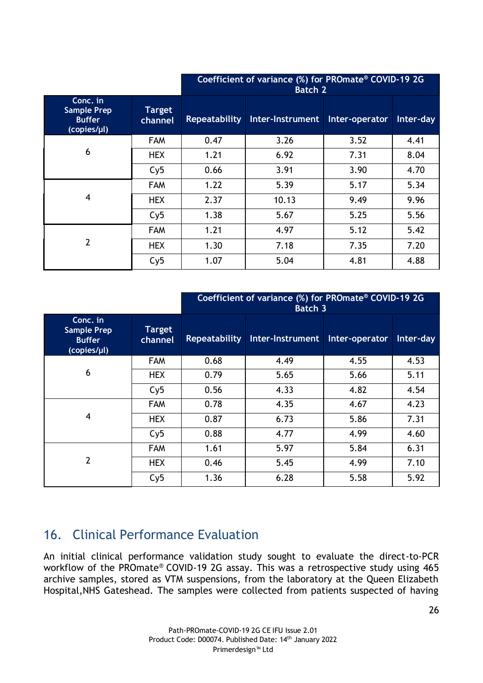|                                                                |                          | Coefficient of variance (%) for PROmate® COVID-19 2G<br><b>Batch 2</b> |                  |                |           |
|----------------------------------------------------------------|--------------------------|------------------------------------------------------------------------|------------------|----------------|-----------|
| Conc. in<br><b>Sample Prep</b><br><b>Buffer</b><br>(copies/µl) | <b>Target</b><br>channel | <b>Repeatability</b>                                                   | Inter-Instrument | Inter-operator | Inter-day |
|                                                                | <b>FAM</b>               | 0.47                                                                   | 3.26             | 3.52           | 4.41      |
| 6                                                              | <b>HEX</b>               | 1.21                                                                   | 6.92             | 7.31           | 8.04      |
|                                                                | Cy5                      | 0.66                                                                   | 3.91             | 3.90           | 4.70      |
|                                                                | <b>FAM</b>               | 1.22                                                                   | 5.39             | 5.17           | 5.34      |
| $\overline{\mathbf{4}}$                                        | <b>HEX</b>               | 2.37                                                                   | 10.13            | 9.49           | 9.96      |
|                                                                | Cy5                      | 1.38                                                                   | 5.67             | 5.25           | 5.56      |
|                                                                | <b>FAM</b>               | 1.21                                                                   | 4.97             | 5.12           | 5.42      |
| $\overline{2}$                                                 | <b>HEX</b>               | 1.30                                                                   | 7.18             | 7.35           | 7.20      |
|                                                                | Cy5                      | 1.07                                                                   | 5.04             | 4.81           | 4.88      |

|                                                                |                          | Coefficient of variance (%) for PROmate® COVID-19 2G<br><b>Batch 3</b> |                  |                |           |
|----------------------------------------------------------------|--------------------------|------------------------------------------------------------------------|------------------|----------------|-----------|
| Conc. in<br><b>Sample Prep</b><br><b>Buffer</b><br>(copies/µl) | <b>Target</b><br>channel | <b>Repeatability</b>                                                   | Inter-Instrument | Inter-operator | Inter-day |
|                                                                | <b>FAM</b>               | 0.68                                                                   | 4.49             | 4.55           | 4.53      |
| 6                                                              | <b>HEX</b>               | 0.79                                                                   | 5.65             | 5.66           | 5.11      |
|                                                                | Cy5                      | 0.56                                                                   | 4.33             | 4.82           | 4.54      |
|                                                                | <b>FAM</b>               | 0.78                                                                   | 4.35             | 4.67           | 4.23      |
| 4                                                              | <b>HEX</b>               | 0.87                                                                   | 6.73             | 5.86           | 7.31      |
|                                                                | Cy5                      | 0.88                                                                   | 4.77             | 4.99           | 4.60      |
|                                                                | <b>FAM</b>               | 1.61                                                                   | 5.97             | 5.84           | 6.31      |
| $\overline{2}$                                                 | <b>HEX</b>               | 0.46                                                                   | 5.45             | 4.99           | 7.10      |
|                                                                | Cy5                      | 1.36                                                                   | 6.28             | 5.58           | 5.92      |

## <span id="page-25-0"></span>16. Clinical Performance Evaluation

An initial clinical performance validation study sought to evaluate the direct-to-PCR workflow of the PROmate® COVID-19 2G assay. This was a retrospective study using 465 archive samples, stored as VTM suspensions, from the laboratory at the Queen Elizabeth Hospital,NHS Gateshead. The samples were collected from patients suspected of having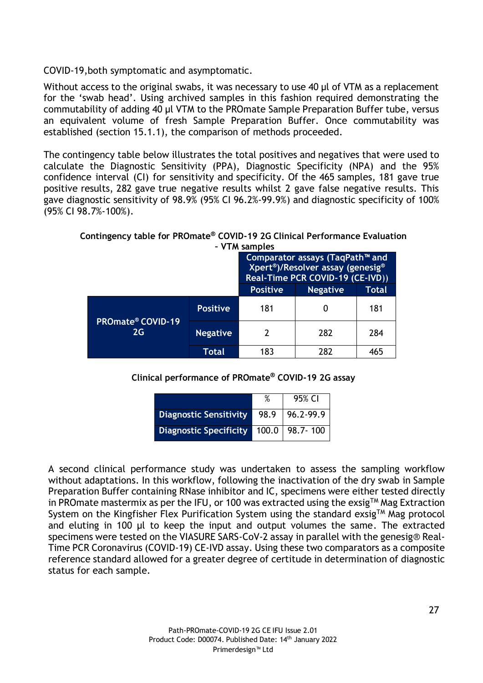COVID-19,both symptomatic and asymptomatic.

<span id="page-26-0"></span>Without access to the original swabs, it was necessary to use 40 µl of VTM as a replacement for the 'swab head'. Using archived samples in this fashion required demonstrating the commutability of adding 40 µl VTM to the PROmate Sample Preparation Buffer tube, versus an equivalent volume of fresh Sample Preparation Buffer. Once commutability was established (section 15.1.1), the comparison of methods proceeded.

The contingency table below illustrates the total positives and negatives that were used to calculate the Diagnostic Sensitivity (PPA), Diagnostic Specificity (NPA) and the 95% confidence interval (CI) for sensitivity and specificity. Of the 465 samples, 181 gave true positive results, 282 gave true negative results whilst 2 gave false negative results. This gave diagnostic sensitivity of 98.9% (95% CI 96.2%-99.9%) and diagnostic specificity of 100% (95% CI 98.7%-100%).

**Contingency table for PROmate® COVID-19 2G Clinical Performance Evaluation – VTM samples**

| $-$ Y IM SAIIIPIES                        |                 |                                                                                                                                  |                 |       |
|-------------------------------------------|-----------------|----------------------------------------------------------------------------------------------------------------------------------|-----------------|-------|
|                                           |                 | Comparator assays (TaqPath™ and<br>Xpert <sup>®</sup> )/Resolver assay (genesig <sup>®</sup><br>Real-Time PCR COVID-19 (CE-IVD)) |                 |       |
|                                           | <b>Positive</b> |                                                                                                                                  | <b>Negative</b> | Total |
| <b>PROmate<sup>®</sup> COVID-19</b><br>2G | <b>Positive</b> | 181                                                                                                                              |                 | 181   |
|                                           | <b>Negative</b> | 2                                                                                                                                | 282             | 284   |
|                                           | Total           | 183                                                                                                                              | 282             | 465   |

#### **Clinical performance of PROmate® COVID-19 2G assay**

|                                           | 95% CI |
|-------------------------------------------|--------|
| Diagnostic Sensitivity   98.9   96.2-99.9 |        |
| Diagnostic Specificity   100.0   98.7-100 |        |

A second clinical performance study was undertaken to assess the sampling workflow without adaptations. In this workflow, following the inactivation of the dry swab in Sample Preparation Buffer containing RNase inhibitor and IC, specimens were either tested directly in PROmate mastermix as per the IFU, or 100 was extracted using the exsig<sup>TM</sup> Mag Extraction System on the Kingfisher Flex Purification System using the standard exsig<sup>TM</sup> Mag protocol and eluting in 100 µl to keep the input and output volumes the same. The extracted specimens were tested on the VIASURE SARS-CoV-2 assay in parallel with the genesig® Real-Time PCR Coronavirus (COVID-19) CE-IVD assay. Using these two comparators as a composite reference standard allowed for a greater degree of certitude in determination of diagnostic status for each sample.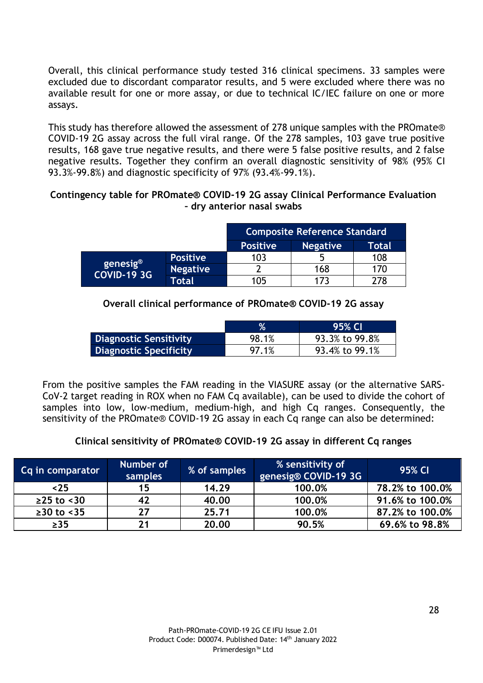Overall, this clinical performance study tested 316 clinical specimens. 33 samples were excluded due to discordant comparator results, and 5 were excluded where there was no available result for one or more assay, or due to technical IC/IEC failure on one or more assays.

This study has therefore allowed the assessment of 278 unique samples with the PROmate® COVID-19 2G assay across the full viral range. Of the 278 samples, 103 gave true positive results, 168 gave true negative results, and there were 5 false positive results, and 2 false negative results. Together they confirm an overall diagnostic sensitivity of 98% (95% CI 93.3%-99.8%) and diagnostic specificity of 97% (93.4%-99.1%).

#### **Contingency table for PROmate® COVID-19 2G assay Clinical Performance Evaluation – dry anterior nasal swabs**

|                                                    |                 | <b>Composite Reference Standard</b> |                 |       |  |
|----------------------------------------------------|-----------------|-------------------------------------|-----------------|-------|--|
|                                                    |                 | <b>Positive</b>                     | <b>Negative</b> | Total |  |
| $\beta$ genesig <sup>®</sup><br><b>COVID-19 3G</b> | <b>Positive</b> | 103                                 | h               | 108   |  |
|                                                    | <b>Negative</b> |                                     | 168             | 170   |  |
|                                                    | Total           | 105                                 | 173             | 278   |  |

#### **Overall clinical performance of PROmate® COVID-19 2G assay**

|                               | $\%$  | 95% CI         |
|-------------------------------|-------|----------------|
| Diagnostic Sensitivity        | 98.1% | 93.3% to 99.8% |
| <b>Diagnostic Specificity</b> | 97.1% | 93.4% to 99.1% |

From the positive samples the FAM reading in the VIASURE assay (or the alternative SARS-CoV-2 target reading in ROX when no FAM Cq available), can be used to divide the cohort of samples into low, low-medium, medium-high, and high Cq ranges. Consequently, the sensitivity of the PROmate® COVID-19 2G assay in each Cq range can also be determined:

#### **Clinical sensitivity of PROmate® COVID-19 2G assay in different Cq ranges**

| Cq in comparator | Number of<br>samples | % of samples | % sensitivity of<br>genesig® COVID-19 3G | 95% CI          |
|------------------|----------------------|--------------|------------------------------------------|-----------------|
| ~125             | 15                   | 14.29        | 100.0%                                   | 78.2% to 100.0% |
| $≥25$ to <30     | 42                   | 40.00        | 100.0%                                   | 91.6% to 100.0% |
| $≥30$ to <35     | 27                   | 25.71        | 100.0%                                   | 87.2% to 100.0% |
| $\geq$ 35        | 21                   | 20.00        | 90.5%                                    | 69.6% to 98.8%  |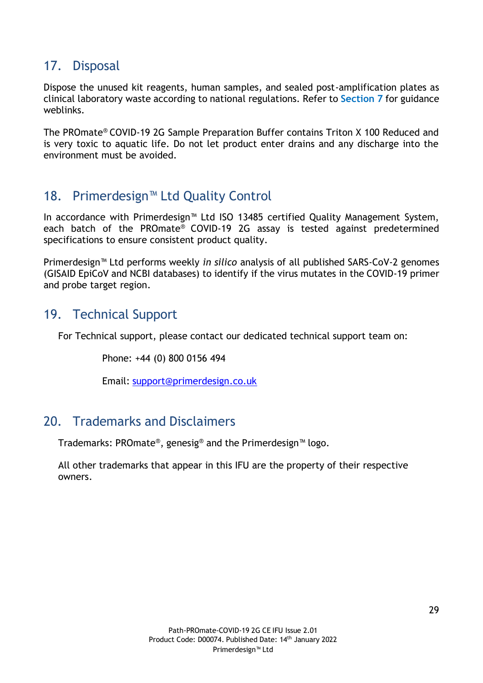## <span id="page-28-3"></span>17. Disposal

Dispose the unused kit reagents, human samples, and sealed post-amplification plates as clinical laboratory waste according to national regulations. Refer to **Section 7** for guidance weblinks.

The PROmate® COVID-19 2G Sample Preparation Buffer contains Triton X 100 Reduced and is very toxic to aquatic life. Do not let product enter drains and any discharge into the environment must be avoided.

## <span id="page-28-0"></span>18. Primerdesign™ Ltd Quality Control

In accordance with Primerdesign™ Ltd ISO 13485 certified Quality Management System, each batch of the PROmate<sup>®</sup> COVID-19 2G assay is tested against predetermined specifications to ensure consistent product quality.

Primerdesign™ Ltd performs weekly *in silico* analysis of all published SARS-CoV-2 genomes (GISAID EpiCoV and NCBI databases) to identify if the virus mutates in the COVID-19 primer and probe target region.

## <span id="page-28-1"></span>19. Technical Support

For Technical support, please contact our dedicated technical support team on:

Phone: +44 (0) 800 0156 494

Email: [support@primerdesign.co.uk](mailto:support@primerdesign.co.uk)

## <span id="page-28-2"></span>20. Trademarks and Disclaimers

Trademarks: PROmate®, genesig® and the Primerdesign™ logo.

All other trademarks that appear in this IFU are the property of their respective owners.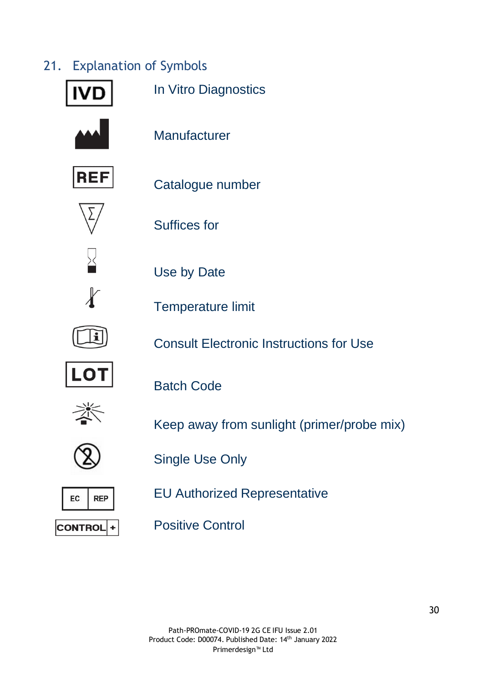## 21. Explanation of Symbols

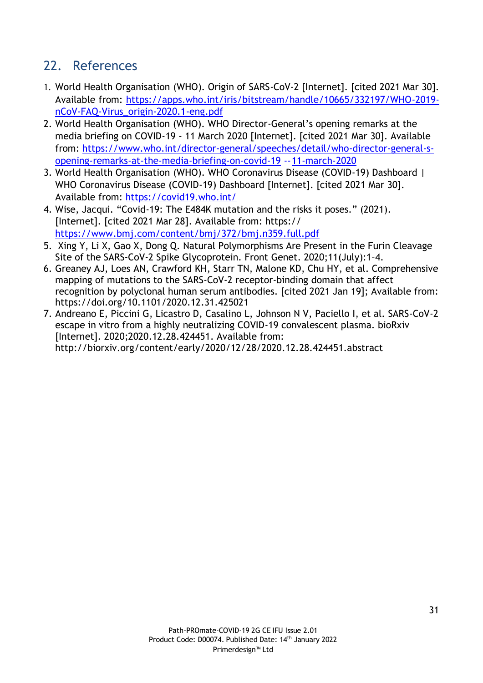## <span id="page-30-0"></span>22. References

- 1. World Health Organisation (WHO). Origin of SARS-CoV-2 [Internet]. [cited 2021 Mar 30]. Available from: [https://apps.who.int/iris/bitstream/handle/10665/332197/WHO-2019](https://apps.who.int/iris/bitstream/handle/10665/332197/WHO-2019-nCoV-FAQ-Virus_origin-2020.1-eng.pdf) [nCoV-FAQ-Virus\\_origin-2020.1-eng.pdf](https://apps.who.int/iris/bitstream/handle/10665/332197/WHO-2019-nCoV-FAQ-Virus_origin-2020.1-eng.pdf)
- 2. World Health Organisation (WHO). WHO Director-General's opening remarks at the media briefing on COVID-19 - 11 March 2020 [Internet]. [cited 2021 Mar 30]. Available from: [https://www.who.int/director-general/speeches/detail/who-director-general-s](https://www.who.int/director-general/speeches/detail/who-director-general-s-opening-remarks-at-the-media-briefing-on-covid-19---11-march-2020)[opening-remarks-at-the-media-briefing-on-covid-19](https://www.who.int/director-general/speeches/detail/who-director-general-s-opening-remarks-at-the-media-briefing-on-covid-19---11-march-2020) --11-march-2020
- 3. World Health Organisation (WHO). WHO Coronavirus Disease (COVID-19) Dashboard | WHO Coronavirus Disease (COVID-19) Dashboard [Internet]. [cited 2021 Mar 30]. Available from: <https://covid19.who.int/>
- 4. Wise, Jacqui. "Covid-19: The E484K mutation and the risks it poses." (2021). [Internet]. [cited 2021 Mar 28]. Available from: https:// <https://www.bmj.com/content/bmj/372/bmj.n359.full.pdf>
- 5. Xing Y, Li X, Gao X, Dong Q. Natural Polymorphisms Are Present in the Furin Cleavage Site of the SARS-CoV-2 Spike Glycoprotein. Front Genet. 2020;11(July):1–4.
- 6. Greaney AJ, Loes AN, Crawford KH, Starr TN, Malone KD, Chu HY, et al. Comprehensive mapping of mutations to the SARS-CoV-2 receptor-binding domain that affect recognition by polyclonal human serum antibodies. [cited 2021 Jan 19]; Available from: https://doi.org/10.1101/2020.12.31.425021
- 7. Andreano E, Piccini G, Licastro D, Casalino L, Johnson N V, Paciello I, et al. SARS-CoV-2 escape in vitro from a highly neutralizing COVID-19 convalescent plasma. bioRxiv [Internet]. 2020;2020.12.28.424451. Available from: <http://biorxiv.org/content/early/2020/12/28/2020.12.28.424451.abstract>